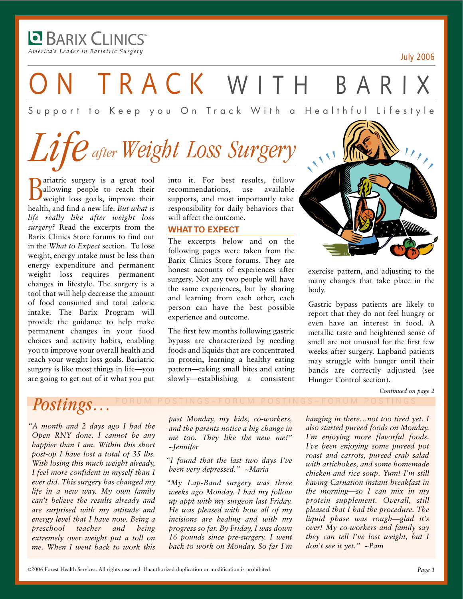**D** BARIX CLINICS America's Leader in Bariatric Surgery

-

July 2006

TRACK WITH BAR

Support to Keep you On Track With a Healthful Lifestyle

## *Weight Loss Surgery Life after*

**B** ariatric surgery is a great tool<br>
weight loss goals, improve their<br>
labelle and find as life Reinbald allowing people to reach their weight loss goals, improve their health, and find a new life. *But what is life really like after weight loss surgery?* Read the excerpts from the Barix Clinics Store forums to find out in the *What to Expect* section. To lose weight, energy intake must be less than energy expenditure and permanent weight loss requires permanent changes in lifestyle. The surgery is a tool that will help decrease the amount of food consumed and total caloric intake. The Barix Program will provide the guidance to help make permanent changes in your food choices and activity habits, enabling you to improve your overall health and reach your weight loss goals. Bariatric surgery is like most things in life—you are going to get out of it what you put

into it. For best results, follow recommendations, use available supports, and most importantly take responsibility for daily behaviors that will affect the outcome.

#### **WHAT TO EXPECT**

The excerpts below and on the following pages were taken from the Barix Clinics Store forums. They are honest accounts of experiences after surgery. Not any two people will have the same experiences, but by sharing and learning from each other, each person can have the best possible experience and outcome.

The first few months following gastric bypass are characterized by needing foods and liquids that are concentrated in protein, learning a healthy eating pattern—taking small bites and eating slowly—establishing a consistent



exercise pattern, and adjusting to the many changes that take place in the body.

Gastric bypass patients are likely to report that they do not feel hungry or even have an interest in food. A metallic taste and heightened sense of smell are not unusual for the first few weeks after surgery. Lapband patients may struggle with hunger until their bands are correctly adjusted (see Hunger Control section).

*Continued on page 2*

## $Postings...$

*"A month and 2 days ago I had the Open RNY done. I cannot be any happier than I am. Within this short post-op I have lost a total of 35 lbs. With losing this much weight already, I feel more confident in myself than I ever did. This surgery has changed my life in a new way. My own family can't believe the results already and are surprised with my attitude and energy level that I have now. Being a preschool teacher and being extremely over weight put a toll on me. When I went back to work this* 

*past Monday, my kids, co-workers, and the parents notice a big change in me too. They like the new me!" ~Jennifer*

*"I found that the last two days I've been very depressed." ~Maria*

*"My Lap-Band surgery was three weeks ago Monday. I had my follow up appt with my surgeon last Friday. He was pleased with how all of my incisions are healing and with my progress so far. By Friday, I was down 16 pounds since pre-surgery. I went back to work on Monday. So far I'm* 

*hanging in there…not too tired yet. I also started pureed foods on Monday. I'm enjoying more flavorful foods. I've been enjoying some pureed pot roast and carrots, pureed crab salad with artichokes, and some homemade chicken and rice soup. Yum! I'm still having Carnation instant breakfast in the morning—so I can mix in my protein supplement. Overall, still pleased that I had the procedure. The liquid phase was rough—glad it's over! My co-workers and family say they can tell I've lost weight, but I don't see it yet." ~Pam*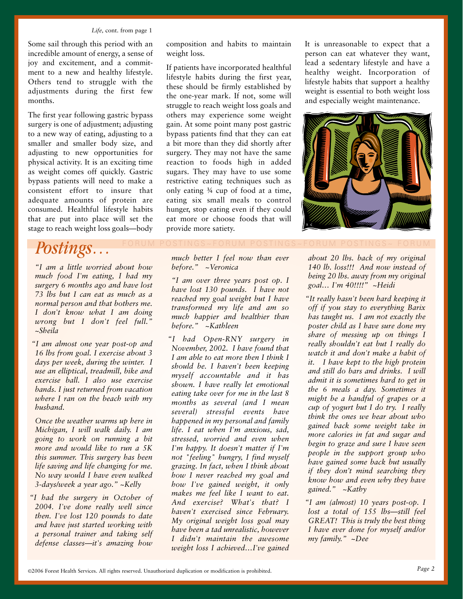#### *Life,* cont. from page 1

Some sail through this period with an incredible amount of energy, a sense of joy and excitement, and a commitment to a new and healthy lifestyle. Others tend to struggle with the adjustments during the first few months.

The first year following gastric bypass surgery is one of adjustment; adjusting to a new way of eating, adjusting to a smaller and smaller body size, and adjusting to new opportunities for physical activity. It is an exciting time as weight comes off quickly. Gastric bypass patients will need to make a consistent effort to insure that adequate amounts of protein are consumed. Healthful lifestyle habits that are put into place will set the stage to reach weight loss goals—body

## $Postings...$

*"I am a little worried about how much food I'm eating, I had my surgery 6 months ago and have lost 73 lbs but I can eat as much as a normal person and that bothers me. I don't know what I am doing wrong but I don't feel full." ~Sheila*

*"I am almost one year post-op and 16 lbs from goal. I exercise about 3 days per week, during the winter. I use an elliptical, treadmill, bike and exercise ball. I also use exercise bands. I just returned from vacation where I ran on the beach with my husband.* 

*Once the weather warms up here in Michigan, I will walk daily. I am going to work on running a bit more and would like to run a 5K this summer. This surgery has been life saving and life changing for me. No way would I have even walked 3-days/week a year ago." ~Kelly*

*"I had the surgery in October of 2004. I've done really well since then. I've lost 120 pounds to date and have just started working with a personal trainer and taking self defense classes—it's amazing how*

composition and habits to maintain weight loss.

If patients have incorporated healthful lifestyle habits during the first year, these should be firmly established by the one-year mark. If not, some will struggle to reach weight loss goals and others may experience some weight gain. At some point many post gastric bypass patients find that they can eat a bit more than they did shortly after surgery. They may not have the same reaction to foods high in added sugars. They may have to use some restrictive eating techniques such as only eating ¾ cup of food at a time, eating six small meals to control hunger, stop eating even if they could eat more or choose foods that will provide more satiety.

*much better I feel now than ever before." ~Veronica*

*"I am over three years post op. I have lost 130 pounds. I have not reached my goal weight but I have transformed my life and am so much happier and healthier than before." ~Kathleen*

*"I had Open-RNY surgery in November, 2002. I have found that I am able to eat more then I think I should be. I haven't been keeping myself accountable and it has shown. I have really let emotional eating take over for me in the last 8 months as several (and I mean several) stressful events have happened in my personal and family life. I eat when I'm anxious, sad, stressed, worried and even when I'm happy. It doesn't matter if I'm not "feeling" hungry, I find myself grazing. In fact, when I think about how I never reached my goal and how I've gained weight, it only makes me feel like I want to eat. And exercise? What's that? I haven't exercised since February. My original weight loss goal may have been a tad unrealistic, however I didn't maintain the awesome weight loss I achieved…I've gained*

It is unreasonable to expect that a person can eat whatever they want, lead a sedentary lifestyle and have a healthy weight. Incorporation of lifestyle habits that support a healthy weight is essential to both weight loss and especially weight maintenance.



*about 20 lbs. back of my original 140 lb. loss!!! And now instead of being 20 lbs. away from my original goal… I'm 40!!!!" ~Heidi*

*"It really hasn't been hard keeping it off if you stay to everything Barix has taught us. I am not exactly the poster child as I have sure done my share of messing up on things I really shouldn't eat but I really do watch it and don't make a habit of it. I have kept to the high protein and still do bars and drinks. I will admit it is sometimes hard to get in the 6 meals a day. Sometimes it might be a handful of grapes or a cup of yogurt but I do try. I really think the ones we hear about who gained back some weight take in more calories in fat and sugar and begin to graze and sure I have seen people in the support group who have gained some back but usually if they don't mind searching they know how and even why they have gained." ~Kathy*

*"I am (almost) 10 years post-op. I lost a total of 155 lbs—still feel GREAT! This is truly the best thing I have ever done for myself and/or my family." ~Dee*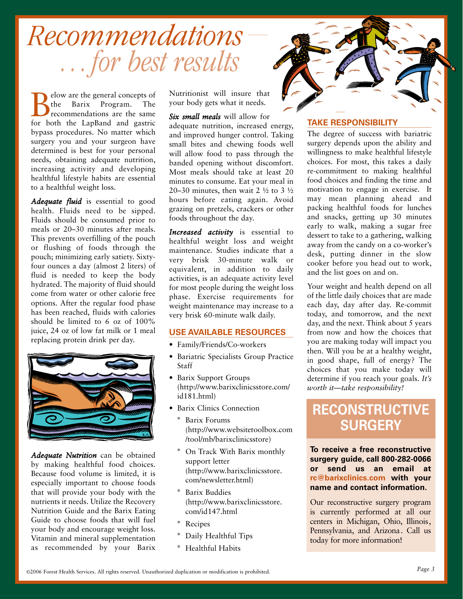# *…for best results Recommendations*

elow are the general concepts of<br>the Barix Program. The the Barix Program. recommendations are the same for both the LapBand and gastric bypass procedures. No matter which surgery you and your surgeon have determined is best for your personal needs, obtaining adequate nutrition, increasing activity and developing healthful lifestyle habits are essential to a healthful weight loss.

*Adequate fluid* is essential to good health. Fluids need to be sipped. Fluids should be consumed prior to meals or 20–30 minutes after meals. This prevents overfilling of the pouch or flushing of foods through the pouch; minimizing early satiety. Sixtyfour ounces a day (almost 2 liters) of fluid is needed to keep the body hydrated. The majority of fluid should come from water or other calorie free options. After the regular food phase has been reached, fluids with calories should be limited to 6 oz of 100% juice, 24 oz of low fat milk or 1 meal replacing protein drink per day.



*Adequate Nutrition* can be obtained by making healthful food choices. Because food volume is limited, it is especially important to choose foods that will provide your body with the nutrients it needs. Utilize the Recovery Nutrition Guide and the Barix Eating Guide to choose foods that will fuel your body and encourage weight loss. Vitamin and mineral supplementation as recommended by your Barix Nutritionist will insure that your body gets what it needs.

*Six small meals* will allow for adequate nutrition, increased energy, and improved hunger control. Taking small bites and chewing foods well will allow food to pass through the banded opening without discomfort. Most meals should take at least 20 minutes to consume. Eat your meal in 20–30 minutes, then wait 2  $\frac{1}{2}$  to 3  $\frac{1}{2}$ hours before eating again. Avoid grazing on pretzels, crackers or other foods throughout the day.

*Increased activity* is essential to healthful weight loss and weight maintenance. Studies indicate that a very brisk 30-minute walk or equivalent, in addition to daily activities, is an adequate activity level for most people during the weight loss phase. Exercise requirements for weight maintenance may increase to a very brisk 60-minute walk daily.

#### **USE AVAILABLE RESOURCES**

- Family/Friends/Co-workers
- Bariatric Specialists Group Practice Staff
- Barix Support Groups (http://www.barixclinicsstore.com/ id181.html)
- Barix Clinics Connection
	- ° Barix Forums (http://www.websitetoolbox.com /tool/mb/barixclinicsstore)
	- ° On Track With Barix monthly support letter (http://www.barixclinicsstore. com/newsletter.html)
	- ° Barix Buddies (http://www.barixclinicsstore. com/id147.html
	- ° Recipes
	- Daily Healthful Tips
	- ° Healthful Habits



#### **TAKE RESPONSIBILITY**

The degree of success with bariatric surgery depends upon the ability and willingness to make healthful lifestyle choices. For most, this takes a daily re-commitment to making healthful food choices and finding the time and motivation to engage in exercise. It may mean planning ahead and packing healthful foods for lunches and snacks, getting up 30 minutes early to walk, making a sugar free dessert to take to a gathering, walking away from the candy on a co-worker's desk, putting dinner in the slow cooker before you head out to work, and the list goes on and on.

Your weight and health depend on all of the little daily choices that are made each day, day after day. Re-commit today, and tomorrow, and the next day, and the next. Think about 5 years from now and how the choices that you are making today will impact you then. Will you be at a healthy weight, in good shape, full of energy? The choices that you make today will determine if you reach your goals. *It's worth it—take responsibility!*

### **RECONSTRUCTIVE SURGERY**

**To receive a free reconstructive surgery guide, call 8002820066 or send us an email at rc@barixclinics.com with your name and contact information.**

Our reconstructive surgery program is currently performed at all our centers in Michigan, Ohio, Illinois, Pennsylvania, and Arizona. Call us today for more information!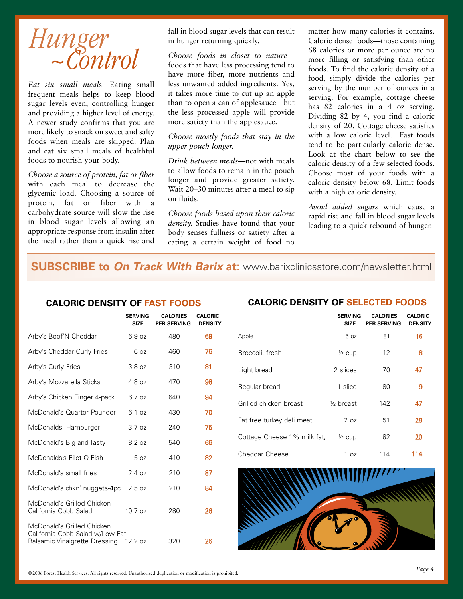

*Eat six small meal*s—Eating small frequent meals helps to keep blood sugar levels even, controlling hunger and providing a higher level of energy. A newer study confirms that you are more likely to snack on sweet and salty foods when meals are skipped. Plan and eat six small meals of healthful foods to nourish your body.

*Choose a source of protein, fat or fiber* with each meal to decrease the glycemic load. Choosing a source of protein, fat or fiber with a carbohydrate source will slow the rise in blood sugar levels allowing an appropriate response from insulin after the meal rather than a quick rise and fall in blood sugar levels that can result in hunger returning quickly.

*Choose foods in closet to nature* foods that have less processing tend to have more fiber, more nutrients and less unwanted added ingredients. Yes, it takes more time to cut up an apple than to open a can of applesauce—but the less processed apple will provide more satiety than the applesauce.

#### *Choose mostly foods that stay in the upper pouch longer.*

*Drink between meals*—not with meals to allow foods to remain in the pouch longer and provide greater satiety. Wait 20–30 minutes after a meal to sip on fluids.

*Choose foods based upon their caloric density.* Studies have found that your body senses fullness or satiety after a eating a certain weight of food no

matter how many calories it contains. Calorie dense foods—those containing 68 calories or more per ounce are no more filling or satisfying than other foods. To find the caloric density of a food, simply divide the calories per serving by the number of ounces in a serving. For example, cottage cheese has 82 calories in a 4 oz serving. Dividing 82 by 4, you find a caloric density of 20. Cottage cheese satisfies with a low calorie level. Fast foods tend to be particularly calorie dense. Look at the chart below to see the caloric density of a few selected foods. Choose most of your foods with a caloric density below 68. Limit foods with a high caloric density.

*Avoid added sugars* which cause a rapid rise and fall in blood sugar levels leading to a quick rebound of hunger.

### **SUBSCRIBE to On Track With Barix at:** www.barixclinicsstore.com/newsletter.html

|                                                                                                | <b>SERVING</b><br><b>SIZE</b> | <b>CALORIES</b><br><b>PER SERVING</b> | <b>CALORIC</b><br><b>DENSITY</b> |
|------------------------------------------------------------------------------------------------|-------------------------------|---------------------------------------|----------------------------------|
| Arby's Beef'N Cheddar                                                                          | 6.9 oz                        | 480                                   | 69                               |
| Arby's Cheddar Curly Fries                                                                     | 6 <sub>oz</sub>               | 460                                   | 76                               |
| Arby's Curly Fries                                                                             | 3.8oz                         | 310                                   | 81                               |
| Arby's Mozzarella Sticks                                                                       | 4.8 oz                        | 470                                   | 98                               |
| Arby's Chicken Finger 4-pack                                                                   | 6.7 oz                        | 640                                   | 94                               |
| McDonald's Quarter Pounder                                                                     | 6.1 oz                        | 430                                   | 70                               |
| McDonalds' Hamburger                                                                           | 3.7 oz                        | 240                                   | 75                               |
| McDonald's Big and Tasty                                                                       | 8.2 oz                        | 540                                   | 66                               |
| McDonalds's Filet-O-Fish                                                                       | 5 <sub>0z</sub>               | 410                                   | 82                               |
| McDonald's small fries                                                                         | 2.4oz                         | 210                                   | 87                               |
| McDonald's chkn' nuggets-4pc.                                                                  | 2.5 oz                        | 210                                   | 84                               |
| McDonald's Grilled Chicken<br>California Cobb Salad                                            | $10.7$ $oz$                   | 280                                   | 26                               |
| McDonald's Grilled Chicken<br>California Cobb Salad w/Low Fat<br>Balsamic Vinaigrette Dressing | 12.2 oz                       | 320                                   | 26                               |

#### **CALORIC DENSITY OF FAST FOODS CALORIC DENSITY OF SELECTED FOODS**

|                             | <b>SERVING</b><br><b>SIZE</b> | <b>CALORIES</b><br><b>PER SERVING</b> | <b>CALORIC</b><br><b>DENSITY</b> |
|-----------------------------|-------------------------------|---------------------------------------|----------------------------------|
| Apple                       | 5 <sub>oz</sub>               | 81                                    | 16                               |
| Broccoli, fresh             | $\frac{1}{2}$ cup             | 12                                    | 8                                |
| Light bread                 | 2 slices                      | 70                                    | 47                               |
| Regular bread               | 1 slice                       | 80                                    | 9                                |
| Grilled chicken breast      | $\frac{1}{2}$ breast          | 142                                   | 47                               |
| Fat free turkey deli meat   | 2 <sub>oz</sub>               | 51                                    | 28                               |
| Cottage Cheese 1% milk fat, | $\frac{1}{2}$ cup             | 82                                    | 20                               |
| Cheddar Cheese              | 1 oz                          | 114                                   | 114                              |